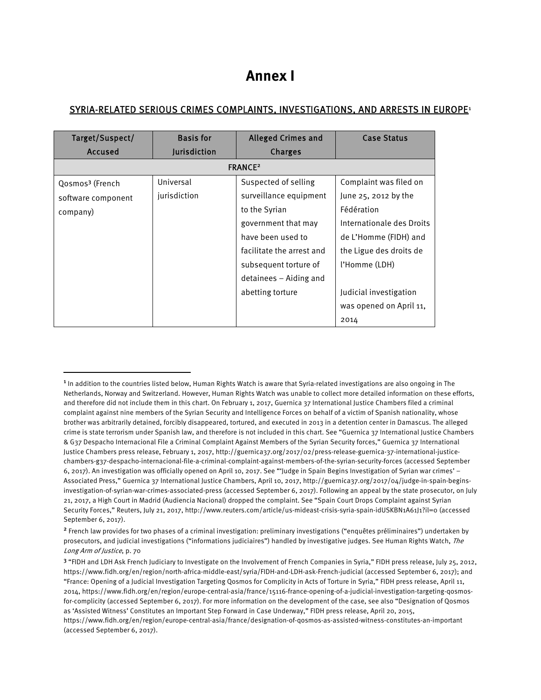## **Annex I**

## SYRIA-RELATED SERIOUS CRIMES COMPLAINTS, INVESTIGATIONS, AND ARRESTS IN EUROPE<sup>1</sup>

| Target/Suspect/             | <b>Basis for</b>    | <b>Alleged Crimes and</b> | <b>Case Status</b>        |  |
|-----------------------------|---------------------|---------------------------|---------------------------|--|
| Accused                     | <b>Jurisdiction</b> | Charges                   |                           |  |
| <b>FRANCE<sup>2</sup></b>   |                     |                           |                           |  |
| Qosmos <sup>3</sup> (French | Universal           | Suspected of selling      | Complaint was filed on    |  |
| software component          | jurisdiction        | surveillance equipment    | June 25, 2012 by the      |  |
| company)                    |                     | to the Syrian             | Fédération                |  |
|                             |                     | government that may       | Internationale des Droits |  |
|                             |                     | have been used to         | de L'Homme (FIDH) and     |  |
|                             |                     | facilitate the arrest and | the Ligue des droits de   |  |
|                             |                     | subsequent torture of     | l'Homme (LDH)             |  |
|                             |                     | detainees – Aiding and    |                           |  |
|                             |                     | abetting torture          | Judicial investigation    |  |
|                             |                     |                           | was opened on April 11,   |  |
|                             |                     |                           | 2014                      |  |

 $\overline{a}$ 

<sup>&</sup>lt;sup>1</sup> In addition to the countries listed below, Human Rights Watch is aware that Syria-related investigations are also ongoing in The Netherlands, Norway and Switzerland. However, Human Rights Watch was unable to collect more detailed information on these efforts, and therefore did not include them in this chart. On February 1, 2017, Guernica 37 International Justice Chambers filed a criminal complaint against nine members of the Syrian Security and Intelligence Forces on behalf of a victim of Spanish nationality, whose brother was arbitrarily detained, forcibly disappeared, tortured, and executed in 2013 in a detention center in Damascus. The alleged crime is state terrorism under Spanish law, and therefore is not included in this chart. See "Guernica 37 International Justice Chambers & G37 Despacho Internacional File a Criminal Complaint Against Members of the Syrian Security forces," Guernica 37 International Justice Chambers press release, February 1, 2017, http://guernica37.org/2017/02/press-release-guernica-37-international-justicechambers-g37-despacho-internacional-file-a-criminal-complaint-against-members-of-the-syrian-security-forces (accessed September 6, 2017). An investigation was officially opened on April 10, 2017. See "'Judge in Spain Begins Investigation of Syrian war crimes' – Associated Press," Guernica 37 International Justice Chambers, April 10, 2017, http://guernica37.org/2017/04/judge-in-spain-beginsinvestigation-of-syrian-war-crimes-associated-press (accessed September 6, 2017). Following an appeal by the state prosecutor, on July 21, 2017, a High Court in Madrid (Audiencia Nacional) dropped the complaint. See "Spain Court Drops Complaint against Syrian Security Forces," Reuters, July 21, 2017, http://www.reuters.com/article/us-mideast-crisis-syria-spain-idUSKBN1A61J1?il=0 (accessed September 6, 2017).

<sup>2</sup> French law provides for two phases of a criminal investigation: preliminary investigations ("enquêtes préliminaires") undertaken by prosecutors, and judicial investigations ("informations judiciaires") handled by investigative judges. See Human Rights Watch, The Long Arm of Justice, p. 70

<sup>3</sup> "FIDH and LDH Ask French Judiciary to Investigate on the Involvement of French Companies in Syria," FIDH press release, July 25, 2012, https://www.fidh.org/en/region/north-africa-middle-east/syria/FIDH-and-LDH-ask-French-judicial (accessed September 6, 2017); and "France: Opening of a Judicial Investigation Targeting Qosmos for Complicity in Acts of Torture in Syria," FIDH press release, April 11, 2014, https://www.fidh.org/en/region/europe-central-asia/france/15116-france-opening-of-a-judicial-investigation-targeting-qosmosfor-complicity (accessed September 6, 2017). For more information on the development of the case, see also "Designation of Qosmos as 'Assisted Witness' Constitutes an Important Step Forward in Case Underway," FIDH press release, April 20, 2015, https://www.fidh.org/en/region/europe-central-asia/france/designation-of-qosmos-as-assisted-witness-constitutes-an-important (accessed September 6, 2017).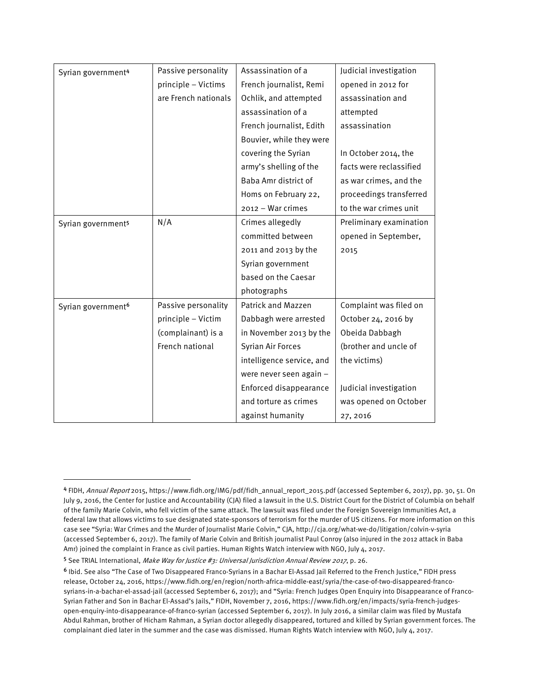| Syrian government <sup>4</sup> | Passive personality  | Assassination of a        | Judicial investigation  |
|--------------------------------|----------------------|---------------------------|-------------------------|
|                                | principle - Victims  | French journalist, Remi   | opened in 2012 for      |
|                                | are French nationals | Ochlik, and attempted     | assassination and       |
|                                |                      | assassination of a        | attempted               |
|                                |                      | French journalist, Edith  | assassination           |
|                                |                      | Bouvier, while they were  |                         |
|                                |                      | covering the Syrian       | In October 2014, the    |
|                                |                      | army's shelling of the    | facts were reclassified |
|                                |                      | Baba Amr district of      | as war crimes, and the  |
|                                |                      | Homs on February 22,      | proceedings transferred |
|                                |                      | 2012 - War crimes         | to the war crimes unit  |
| Syrian government <sup>5</sup> | N/A                  | Crimes allegedly          | Preliminary examination |
|                                |                      | committed between         | opened in September,    |
|                                |                      | 2011 and 2013 by the      | 2015                    |
|                                |                      | Syrian government         |                         |
|                                |                      | based on the Caesar       |                         |
|                                |                      | photographs               |                         |
| Syrian government <sup>6</sup> | Passive personality  | <b>Patrick and Mazzen</b> | Complaint was filed on  |
|                                | principle - Victim   | Dabbagh were arrested     | October 24, 2016 by     |
|                                | (complainant) is a   | in November 2013 by the   | Obeida Dabbagh          |
|                                | French national      | Syrian Air Forces         | (brother and uncle of   |
|                                |                      | intelligence service, and | the victims)            |
|                                |                      | were never seen again -   |                         |
|                                |                      | Enforced disappearance    | Judicial investigation  |
|                                |                      | and torture as crimes     | was opened on October   |
|                                |                      | against humanity          | 27, 2016                |

 $\overline{\phantom{a}}$ 

<sup>4</sup> FIDH, Annual Report 2015, https://www.fidh.org/IMG/pdf/fidh\_annual\_report\_2015.pdf (accessed September 6, 2017), pp. 30, 51. On July 9, 2016, the Center for Justice and Accountability (CJA) filed a lawsuit in the U.S. District Court for the District of Columbia on behalf of the family Marie Colvin, who fell victim of the same attack. The lawsuit was filed under the Foreign Sovereign Immunities Act, a federal law that allows victims to sue designated state-sponsors of terrorism for the murder of US citizens. For more information on this case see "Syria: War Crimes and the Murder of Journalist Marie Colvin," CJA, http://cja.org/what-we-do/litigation/colvin-v-syria (accessed September 6, 2017). The family of Marie Colvin and British journalist Paul Conroy (also injured in the 2012 attack in Baba Amr) joined the complaint in France as civil parties. Human Rights Watch interview with NGO, July 4, 2017.

<sup>5</sup> See TRIAL International, Make Way for Justice #3: Universal Jurisdiction Annual Review 2017, p. 26.

<sup>6</sup> Ibid. See also "The Case of Two Disappeared Franco-Syrians in a Bachar El-Assad Jail Referred to the French Justice," FIDH press release, October 24, 2016, https://www.fidh.org/en/region/north-africa-middle-east/syria/the-case-of-two-disappeared-francosyrians-in-a-bachar-el-assad-jail (accessed September 6, 2017); and "Syria: French Judges Open Enquiry into Disappearance of Franco-Syrian Father and Son in Bachar El-Assad's Jails," FIDH, November 7, 2016, https://www.fidh.org/en/impacts/syria-french-judgesopen-enquiry-into-disappearance-of-franco-syrian (accessed September 6, 2017). In July 2016, a similar claim was filed by Mustafa Abdul Rahman, brother of Hicham Rahman, a Syrian doctor allegedly disappeared, tortured and killed by Syrian government forces. The complainant died later in the summer and the case was dismissed. Human Rights Watch interview with NGO, July 4, 2017.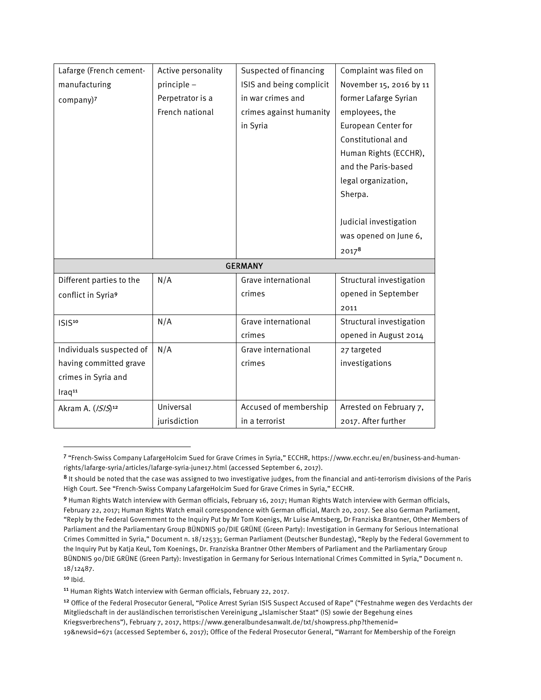| Lafarge (French cement-       | Active personality | Suspected of financing   | Complaint was filed on   |
|-------------------------------|--------------------|--------------------------|--------------------------|
| manufacturing                 | principle -        | ISIS and being complicit | November 15, 2016 by 11  |
| company)7                     | Perpetrator is a   | in war crimes and        | former Lafarge Syrian    |
|                               | French national    | crimes against humanity  | employees, the           |
|                               |                    | in Syria                 | European Center for      |
|                               |                    |                          | Constitutional and       |
|                               |                    |                          | Human Rights (ECCHR),    |
|                               |                    |                          | and the Paris-based      |
|                               |                    |                          | legal organization,      |
|                               |                    |                          | Sherpa.                  |
|                               |                    |                          |                          |
|                               |                    |                          | Judicial investigation   |
|                               |                    |                          | was opened on June 6,    |
|                               |                    |                          | $2017^8$                 |
|                               |                    | <b>GERMANY</b>           |                          |
| Different parties to the      | N/A                | Grave international      | Structural investigation |
| conflict in Syria9            |                    | crimes                   | opened in September      |
|                               |                    |                          | 2011                     |
| ISIS <sup>10</sup>            | N/A                | Grave international      | Structural investigation |
|                               |                    | crimes                   | opened in August 2014    |
| Individuals suspected of      | N/A                | Grave international      | 27 targeted              |
| having committed grave        |                    | crimes                   | investigations           |
| crimes in Syria and           |                    |                          |                          |
| Iraq <sup>11</sup>            |                    |                          |                          |
| Akram A. (/S/S) <sup>12</sup> | Universal          | Accused of membership    | Arrested on February 7,  |
|                               | jurisdiction       | in a terrorist           | 2017. After further      |

<sup>7</sup> "French-Swiss Company LafargeHolcim Sued for Grave Crimes in Syria," ECCHR, https://www.ecchr.eu/en/business-and-humanrights/lafarge-syria/articles/lafarge-syria-june17.html (accessed September 6, 2017).

 $10$  lbid.

 $\overline{a}$ 

<sup>11</sup> Human Rights Watch interview with German officials, February 22, 2017.

<sup>8</sup> It should be noted that the case was assigned to two investigative judges, from the financial and anti-terrorism divisions of the Paris High Court. See "French-Swiss Company LafargeHolcim Sued for Grave Crimes in Syria," ECCHR.

<sup>9</sup> Human Rights Watch interview with German officials, February 16, 2017; Human Rights Watch interview with German officials, February 22, 2017; Human Rights Watch email correspondence with German official, March 20, 2017. See also German Parliament, "Reply by the Federal Government to the Inquiry Put by Mr Tom Koenigs, Mr Luise Amtsberg, Dr Franziska Brantner, Other Members of Parliament and the Parliamentary Group BÜNDNIS 90/DIE GRÜNE (Green Party): Investigation in Germany for Serious International Crimes Committed in Syria," Document n. 18/12533; German Parliament (Deutscher Bundestag), "Reply by the Federal Government to the Inquiry Put by Katja Keul, Tom Koenings, Dr. Franziska Brantner Other Members of Parliament and the Parliamentary Group BÜNDNIS 90/DIE GRÜNE (Green Party): Investigation in Germany for Serious International Crimes Committed in Syria," Document n. 18/12487.

<sup>12</sup> Office of the Federal Prosecutor General, "Police Arrest Syrian ISIS Suspect Accused of Rape" ("Festnahme wegen des Verdachts der Mitgliedschaft in der ausländischen terroristischen Vereinigung "Islamischer Staat" (IS) sowie der Begehung eines Kriegsverbrechens"), February 7, 2017, https://www.generalbundesanwalt.de/txt/showpress.php?themenid= 19&newsid=671 (accessed September 6, 2017); Office of the Federal Prosecutor General, "Warrant for Membership of the Foreign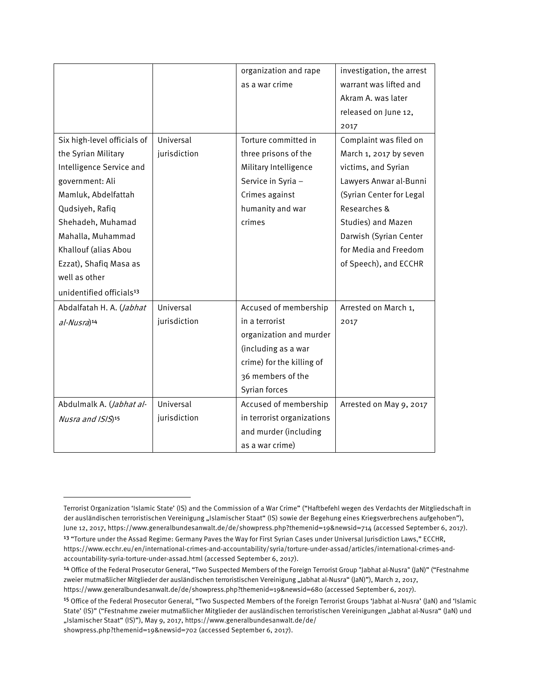|                                      |              | organization and rape      | investigation, the arrest |
|--------------------------------------|--------------|----------------------------|---------------------------|
|                                      |              | as a war crime             | warrant was lifted and    |
|                                      |              |                            | Akram A. was later        |
|                                      |              |                            | released on June 12,      |
|                                      |              |                            | 2017                      |
| Six high-level officials of          | Universal    | Torture committed in       | Complaint was filed on    |
| the Syrian Military                  | jurisdiction | three prisons of the       | March 1, 2017 by seven    |
| Intelligence Service and             |              | Military Intelligence      | victims, and Syrian       |
| government: Ali                      |              | Service in Syria -         | Lawyers Anwar al-Bunni    |
| Mamluk, Abdelfattah                  |              | Crimes against             | (Syrian Center for Legal  |
| Qudsiyeh, Rafiq                      |              | humanity and war           | Researches &              |
| Shehadeh, Muhamad                    |              | crimes                     | Studies) and Mazen        |
| Mahalla, Muhammad                    |              |                            | Darwish (Syrian Center    |
| Khallouf (alias Abou                 |              |                            | for Media and Freedom     |
| Ezzat), Shafiq Masa as               |              |                            | of Speech), and ECCHR     |
| well as other                        |              |                            |                           |
| unidentified officials <sup>13</sup> |              |                            |                           |
| Abdalfatah H. A. (Jabhat             | Universal    | Accused of membership      | Arrested on March 1,      |
| al-Nusra) <sup>14</sup>              | jurisdiction | in a terrorist             | 2017                      |
|                                      |              | organization and murder    |                           |
|                                      |              | (including as a war        |                           |
|                                      |              | crime) for the killing of  |                           |
|                                      |              | 36 members of the          |                           |
|                                      |              | Syrian forces              |                           |
| Abdulmalk A. (Jabhat al-             | Universal    | Accused of membership      | Arrested on May 9, 2017   |
| Nusra and ISIS) <sup>15</sup>        | jurisdiction | in terrorist organizations |                           |
|                                      |              | and murder (including      |                           |
|                                      |              | as a war crime)            |                           |

 $\overline{a}$ 

Terrorist Organization 'Islamic State' (IS) and the Commission of a War Crime" ("Haftbefehl wegen des Verdachts der Mitgliedschaft in der ausländischen terroristischen Vereinigung "Islamischer Staat" (IS) sowie der Begehung eines Kriegsverbrechens aufgehoben"), June 12, 2017, https://www.generalbundesanwalt.de/de/showpress.php?themenid=19&newsid=714 (accessed September 6, 2017). <sup>13</sup> "Torture under the Assad Regime: Germany Paves the Way for First Syrian Cases under Universal Jurisdiction Laws," ECCHR, https://www.ecchr.eu/en/international-crimes-and-accountability/syria/torture-under-assad/articles/international-crimes-andaccountability-syria-torture-under-assad.html (accessed September 6, 2017).

<sup>14</sup> Office of the Federal Prosecutor General, "Two Suspected Members of the Foreign Terrorist Group "Jabhat al-Nusra" (JaN)" ("Festnahme zweier mutmaßlicher Mitglieder der ausländischen terroristischen Vereinigung "Jabhat al-Nusra" (JaN)"), March 2, 2017, https://www.generalbundesanwalt.de/de/showpress.php?themenid=19&newsid=680 (accessed September 6, 2017).

<sup>15</sup> Office of the Federal Prosecutor General, "Two Suspected Members of the Foreign Terrorist Groups 'Jabhat al-Nusra' (JaN) and 'Islamic State' (IS)" ("Festnahme zweier mutmaßlicher Mitglieder der ausländischen terroristischen Vereinigungen "Jabhat al-Nusra" (JaN) und "Islamischer Staat" (IS)"), May 9, 2017, https://www.generalbundesanwalt.de/de/

showpress.php?themenid=19&newsid=702 (accessed September 6, 2017).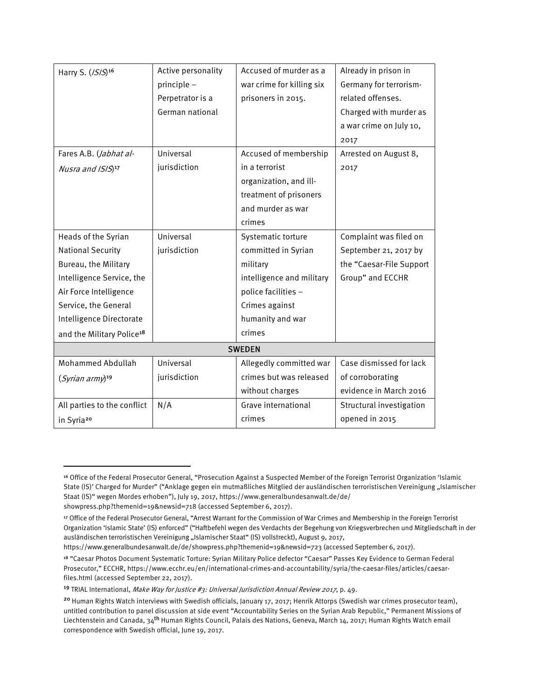| Harry S. (/S/S) <sup>16</sup>         | Active personality | Accused of murder as a    | Already in prison in     |  |
|---------------------------------------|--------------------|---------------------------|--------------------------|--|
|                                       | principle -        | war crime for killing six | Germany for terrorism-   |  |
|                                       | Perpetrator is a   | prisoners in 2015.        | related offenses.        |  |
|                                       | German national    |                           | Charged with murder as   |  |
|                                       |                    |                           | a war crime on July 10,  |  |
|                                       |                    |                           | 2017                     |  |
| Fares A.B. ( <i>Jabhat al-</i>        | Universal          | Accused of membership     | Arrested on August 8,    |  |
| Nusra and ISIS) <sup>17</sup>         | jurisdiction       | in a terrorist            | 2017                     |  |
|                                       |                    | organization, and ill-    |                          |  |
|                                       |                    | treatment of prisoners    |                          |  |
|                                       |                    | and murder as war         |                          |  |
|                                       |                    | crimes                    |                          |  |
| Heads of the Syrian                   | Universal          | Systematic torture        | Complaint was filed on   |  |
| <b>National Security</b>              | jurisdiction       | committed in Syrian       | September 21, 2017 by    |  |
| Bureau, the Military                  |                    | military                  | the "Caesar-File Support |  |
| Intelligence Service, the             |                    | intelligence and military | Group" and ECCHR         |  |
| Air Force Intelligence                |                    | police facilities -       |                          |  |
| Service, the General                  |                    | Crimes against            |                          |  |
| Intelligence Directorate              |                    | humanity and war          |                          |  |
| and the Military Police <sup>18</sup> |                    | crimes                    |                          |  |
| <b>SWEDEN</b>                         |                    |                           |                          |  |
| <b>Mohammed Abdullah</b>              | Universal          | Allegedly committed war   | Case dismissed for lack  |  |
| $(Syrian\ army)$ <sup>19</sup>        | jurisdiction       | crimes but was released   | of corroborating         |  |
|                                       |                    | without charges           | evidence in March 2016   |  |
| All parties to the conflict           | N/A                | Grave international       | Structural investigation |  |
| in Syria <sup>20</sup>                |                    | crimes                    | opened in 2015           |  |

https://www.generalbundesanwalt.de/de/showpress.php?themenid=19&newsid=723 (accessed September 6, 2017).

 $\overline{\phantom{a}}$ 

<sup>16</sup> Office of the Federal Prosecutor General, "Prosecution Against a Suspected Member of the Foreign Terrorist Organization 'Islamic State (IS)' Charged for Murder" ("Anklage gegen ein mutmaßliches Mitglied der ausländischen terroristischen Vereinigung "Islamischer Staat (IS)" wegen Mordes erhoben"), July 19, 2017, https://www.generalbundesanwalt.de/de/ showpress.php?themenid=19&newsid=718 (accessed September 6, 2017).

<sup>17</sup> Office of the Federal Prosecutor General, "Arrest Warrant for the Commission of War Crimes and Membership in the Foreign Terrorist Organization 'Islamic State' (IS) enforced" ("Haftbefehl wegen des Verdachts der Begehung von Kriegsverbrechen und Mitgliedschaft in der ausländischen terroristischen Vereinigung "Islamischer Staat" (IS) vollstreckt), August 9, 2017,

<sup>18</sup> "Caesar Photos Document Systematic Torture: Syrian Military Police defector "Caesar" Passes Key Evidence to German Federal Prosecutor," ECCHR, https://www.ecchr.eu/en/international-crimes-and-accountability/syria/the-caesar-files/articles/caesarfiles.html (accessed September 22, 2017).

<sup>&</sup>lt;sup>19</sup> TRIAL International, Make Way for Justice #3: Universal Jurisdiction Annual Review 2017, p. 49.

<sup>&</sup>lt;sup>20</sup> Human Rights Watch interviews with Swedish officials, January 17, 2017; Henrik Attorps (Swedish war crimes prosecutor team), untitled contribution to panel discussion at side event "Accountability Series on the Syrian Arab Republic," Permanent Missions of Liechtenstein and Canada, 34<sup>th</sup> Human Rights Council, Palais des Nations, Geneva, March 14, 2017; Human Rights Watch email correspondence with Swedish official, June 19, 2017.